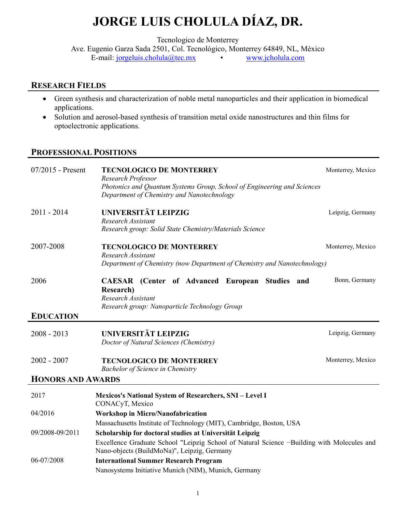## JORGE LUIS CHOLULA DÍAZ, DR.

Tecnologico de Monterrey

Ave. Eugenio Garza Sada 2501, Col. Tecnológico, Monterrey 64849, NL, México E-mail: jorgeluis.cholula@tec.mx • www.jcholula.com

## RESEARCH FIELDS

- Green synthesis and characterization of noble metal nanoparticles and their application in biomedical applications.
- Solution and aerosol-based synthesis of transition metal oxide nanostructures and thin films for optoelectronic applications.

## PROFESSIONAL POSITIONS

| 07/2015 - Present        | <b>TECNOLOGICO DE MONTERREY</b><br>Research Professor                                                                                              | Monterrey, Mexico |
|--------------------------|----------------------------------------------------------------------------------------------------------------------------------------------------|-------------------|
|                          | Photonics and Quantum Systems Group, School of Engineering and Sciences<br>Department of Chemistry and Nanotechnology                              |                   |
| $2011 - 2014$            | UNIVERSITÄT LEIPZIG<br><b>Research Assistant</b><br>Research group: Solid State Chemistry/Materials Science                                        | Leipzig, Germany  |
| 2007-2008                | <b>TECNOLOGICO DE MONTERREY</b><br><b>Research Assistant</b><br>Department of Chemistry (now Department of Chemistry and Nanotechnology)           | Monterrey, Mexico |
| 2006                     | <b>CAESAR</b> (Center of Advanced European Studies and<br><b>Research</b> )<br>Research Assistant<br>Research group: Nanoparticle Technology Group | Bonn, Germany     |
| <b>EDUCATION</b>         |                                                                                                                                                    |                   |
| $2008 - 2013$            | UNIVERSITÄT LEIPZIG<br>Doctor of Natural Sciences (Chemistry)                                                                                      | Leipzig, Germany  |
| $2002 - 2007$            | <b>TECNOLOGICO DE MONTERREY</b><br><b>Bachelor of Science in Chemistry</b>                                                                         | Monterrey, Mexico |
| <b>HONORS AND AWARDS</b> |                                                                                                                                                    |                   |
| 2017                     | <b>Mexicos's National System of Researchers, SNI - Level I</b><br>CONACyT, Mexico                                                                  |                   |
| 04/2016                  | <b>Workshop in Micro/Nanofabrication</b>                                                                                                           |                   |
|                          | Massachusetts Institute of Technology (MIT), Cambridge, Boston, USA                                                                                |                   |
| 09/2008-09/2011          | Scholarship for doctoral studies at Universität Leipzig                                                                                            |                   |
|                          | Excellence Graduate School "Leipzig School of Natural Science -Building with Molecules and<br>Nano-objects (BuildMoNa)", Leipzig, Germany          |                   |
| 06-07/2008               | <b>International Summer Research Program</b>                                                                                                       |                   |
|                          | Nanosystems Initiative Munich (NIM), Munich, Germany                                                                                               |                   |